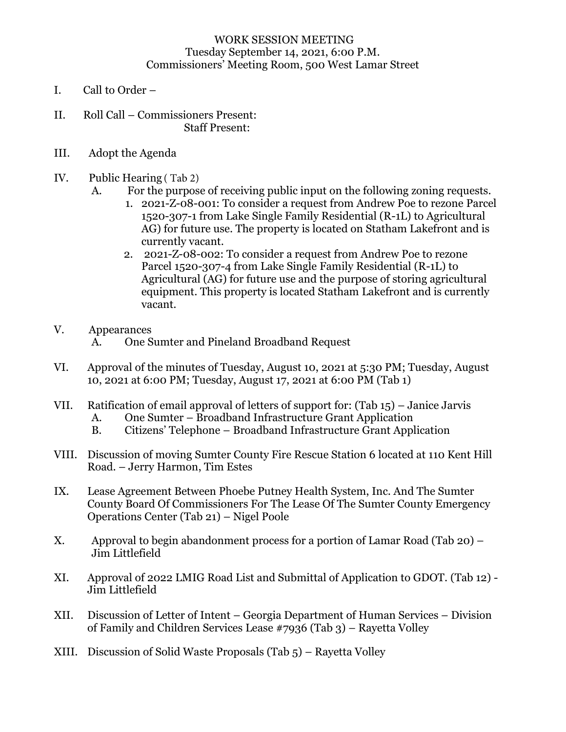## WORK SESSION MEETING Tuesday September 14, 2021, 6:00 P.M. Commissioners' Meeting Room, 500 West Lamar Street

- I. Call to Order –
- II. Roll Call Commissioners Present: Staff Present:
- III. Adopt the Agenda
- IV. Public Hearing ( Tab 2)
	- A. For the purpose of receiving public input on the following zoning requests.
		- 1. 2021-Z-08-001: To consider a request from Andrew Poe to rezone Parcel 1520-307-1 from Lake Single Family Residential (R-1L) to Agricultural AG) for future use. The property is located on Statham Lakefront and is currently vacant.
		- 2. 2021-Z-08-002: To consider a request from Andrew Poe to rezone Parcel 1520-307-4 from Lake Single Family Residential (R-1L) to Agricultural (AG) for future use and the purpose of storing agricultural equipment. This property is located Statham Lakefront and is currently vacant.

## V. Appearances

- A. One Sumter and Pineland Broadband Request
- VI. Approval of the minutes of Tuesday, August 10, 2021 at 5:30 PM; Tuesday, August 10, 2021 at 6:00 PM; Tuesday, August 17, 2021 at 6:00 PM (Tab 1)
- VII. Ratification of email approval of letters of support for: (Tab 15) Janice Jarvis
	- A. One Sumter Broadband Infrastructure Grant Application
	- B. Citizens' Telephone Broadband Infrastructure Grant Application
- VIII. Discussion of moving Sumter County Fire Rescue Station 6 located at 110 Kent Hill Road. – Jerry Harmon, Tim Estes
- IX. Lease Agreement Between Phoebe Putney Health System, Inc. And The Sumter County Board Of Commissioners For The Lease Of The Sumter County Emergency Operations Center (Tab 21) – Nigel Poole
- X. Approval to begin abandonment process for a portion of Lamar Road (Tab 20) Jim Littlefield
- XI. Approval of 2022 LMIG Road List and Submittal of Application to GDOT. (Tab 12) Jim Littlefield
- XII. Discussion of Letter of Intent Georgia Department of Human Services Division of Family and Children Services Lease #7936 (Tab 3) – Rayetta Volley
- XIII. Discussion of Solid Waste Proposals (Tab 5) Rayetta Volley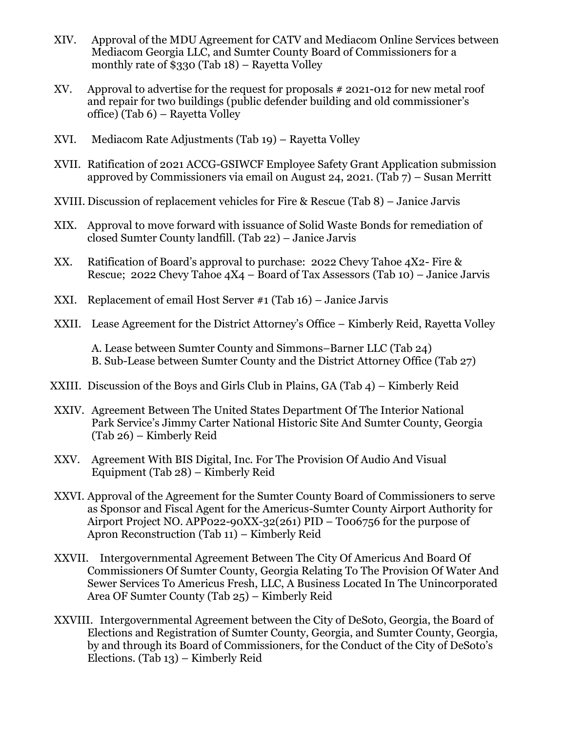- XIV. Approval of the MDU Agreement for CATV and Mediacom Online Services between Mediacom Georgia LLC, and Sumter County Board of Commissioners for a monthly rate of \$330 (Tab 18) – Rayetta Volley
- XV. Approval to advertise for the request for proposals # 2021-012 for new metal roof and repair for two buildings (public defender building and old commissioner's office) (Tab 6) – Rayetta Volley
- XVI. Mediacom Rate Adjustments (Tab 19) Rayetta Volley
- XVII. Ratification of 2021 ACCG-GSIWCF Employee Safety Grant Application submission approved by Commissioners via email on August 24, 2021. (Tab 7) – Susan Merritt
- XVIII. Discussion of replacement vehicles for Fire & Rescue (Tab 8) Janice Jarvis
- XIX. Approval to move forward with issuance of Solid Waste Bonds for remediation of closed Sumter County landfill. (Tab 22) – Janice Jarvis
- XX. Ratification of Board's approval to purchase: 2022 Chevy Tahoe 4X2- Fire & Rescue; 2022 Chevy Tahoe  $4X4$  – Board of Tax Assessors (Tab 10) – Janice Jarvis
- XXI. Replacement of email Host Server #1 (Tab 16) Janice Jarvis
- XXII. Lease Agreement for the District Attorney's Office Kimberly Reid, Rayetta Volley

A. Lease between Sumter County and Simmons–Barner LLC (Tab 24) B. Sub-Lease between Sumter County and the District Attorney Office (Tab 27)

- XXIII. Discussion of the Boys and Girls Club in Plains, GA (Tab 4) Kimberly Reid
- XXIV. Agreement Between The United States Department Of The Interior National Park Service's Jimmy Carter National Historic Site And Sumter County, Georgia (Tab 26) – Kimberly Reid
- XXV. Agreement With BIS Digital, Inc. For The Provision Of Audio And Visual Equipment (Tab 28) – Kimberly Reid
- XXVI. Approval of the Agreement for the Sumter County Board of Commissioners to serve as Sponsor and Fiscal Agent for the Americus-Sumter County Airport Authority for Airport Project NO. APP022-90XX-32(261) PID – T006756 for the purpose of Apron Reconstruction (Tab 11) – Kimberly Reid
- XXVII. Intergovernmental Agreement Between The City Of Americus And Board Of Commissioners Of Sumter County, Georgia Relating To The Provision Of Water And Sewer Services To Americus Fresh, LLC, A Business Located In The Unincorporated Area OF Sumter County (Tab 25) – Kimberly Reid
- XXVIII. Intergovernmental Agreement between the City of DeSoto, Georgia, the Board of Elections and Registration of Sumter County, Georgia, and Sumter County, Georgia, by and through its Board of Commissioners, for the Conduct of the City of DeSoto's Elections. (Tab 13) – Kimberly Reid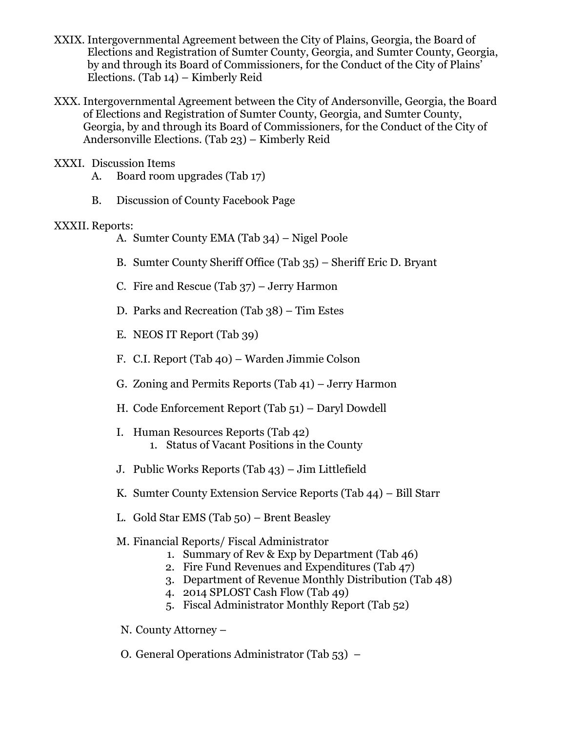- XXIX. Intergovernmental Agreement between the City of Plains, Georgia, the Board of Elections and Registration of Sumter County, Georgia, and Sumter County, Georgia, by and through its Board of Commissioners, for the Conduct of the City of Plains' Elections. (Tab 14) – Kimberly Reid
- XXX. Intergovernmental Agreement between the City of Andersonville, Georgia, the Board of Elections and Registration of Sumter County, Georgia, and Sumter County, Georgia, by and through its Board of Commissioners, for the Conduct of the City of Andersonville Elections. (Tab 23) – Kimberly Reid
- XXXI. Discussion Items
	- A. Board room upgrades (Tab 17)
	- B. Discussion of County Facebook Page

## XXXII. Reports:

- A. Sumter County EMA (Tab 34) Nigel Poole
- B. Sumter County Sheriff Office (Tab 35) Sheriff Eric D. Bryant
- C. Fire and Rescue (Tab 37) Jerry Harmon
- D. Parks and Recreation (Tab 38) Tim Estes
- E. NEOS IT Report (Tab 39)
- F. C.I. Report (Tab 40) Warden Jimmie Colson
- G. Zoning and Permits Reports (Tab 41) Jerry Harmon
- H. Code Enforcement Report (Tab 51) Daryl Dowdell
- I. Human Resources Reports (Tab 42) 1. Status of Vacant Positions in the County
- J. Public Works Reports (Tab 43) Jim Littlefield
- K. Sumter County Extension Service Reports (Tab 44) Bill Starr
- L. Gold Star EMS (Tab 50) Brent Beasley
- M. Financial Reports/ Fiscal Administrator
	- 1. Summary of Rev & Exp by Department (Tab 46)
	- 2. Fire Fund Revenues and Expenditures (Tab 47)
	- 3. Department of Revenue Monthly Distribution (Tab 48)
	- 4. 2014 SPLOST Cash Flow (Tab 49)
	- 5. Fiscal Administrator Monthly Report (Tab 52)
- N. County Attorney –
- O. General Operations Administrator (Tab 53) –